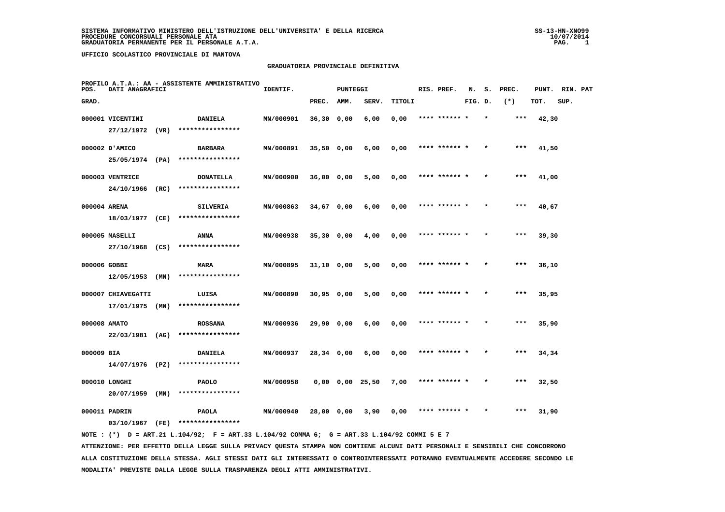### **GRADUATORIA PROVINCIALE DEFINITIVA**

| POS.         | DATI ANAGRAFICI    | PROFILO A.T.A.: AA - ASSISTENTE AMMINISTRATIVO                                              | IDENTIF.  |              | <b>PUNTEGGI</b> |                       |        | RIS. PREF.    | N.      | s.      | PREC. |       | PUNT. RIN. PAT |  |
|--------------|--------------------|---------------------------------------------------------------------------------------------|-----------|--------------|-----------------|-----------------------|--------|---------------|---------|---------|-------|-------|----------------|--|
| GRAD.        |                    |                                                                                             |           | PREC.        | AMM.            | SERV.                 | TITOLI |               | FIG. D. |         | $(*)$ | TOT.  | SUP.           |  |
|              | 000001 VICENTINI   | <b>DANIELA</b>                                                                              | MN/000901 | $36,30$ 0,00 |                 | 6,00                  | 0,00   | **** ****** * |         | $\star$ | ***   | 42,30 |                |  |
|              | 27/12/1972 (VR)    | ****************                                                                            |           |              |                 |                       |        |               |         |         |       |       |                |  |
|              | 000002 D'AMICO     | <b>BARBARA</b>                                                                              | MN/000891 | $35,50$ 0,00 |                 | 6,00                  | 0,00   | **** ****** * |         |         | $***$ | 41,50 |                |  |
|              | 25/05/1974 (PA)    | ****************                                                                            |           |              |                 |                       |        |               |         |         |       |       |                |  |
|              | 000003 VENTRICE    | <b>DONATELLA</b>                                                                            | MN/000900 | 36,00 0,00   |                 | 5,00                  | 0,00   | **** ****** * |         |         | $***$ | 41,00 |                |  |
|              | 24/10/1966 (RC)    | ****************                                                                            |           |              |                 |                       |        |               |         |         |       |       |                |  |
| 000004 ARENA |                    | <b>SILVERIA</b>                                                                             | MN/000863 | 34,67 0,00   |                 | 6,00                  | 0,00   | **** ****** * |         |         | ***   | 40,67 |                |  |
|              | 18/03/1977 (CE)    | ****************                                                                            |           |              |                 |                       |        |               |         |         |       |       |                |  |
|              | 000005 MASELLI     | ANNA                                                                                        | MN/000938 | $35,30$ 0,00 |                 | 4,00                  | 0,00   | **** ****** * |         |         | ***   | 39,30 |                |  |
|              |                    | 27/10/1968 (CS) ****************                                                            |           |              |                 |                       |        |               |         |         |       |       |                |  |
| 000006 GOBBI |                    | MARA                                                                                        | MN/000895 | $31,10$ 0,00 |                 | 5,00                  | 0,00   | **** ****** * |         |         | ***   | 36,10 |                |  |
|              | $12/05/1953$ (MN)  | ****************                                                                            |           |              |                 |                       |        |               |         |         |       |       |                |  |
|              | 000007 CHIAVEGATTI | LUISA                                                                                       | MN/000890 | $30,95$ 0,00 |                 | 5,00                  | 0,00   | **** ****** * |         |         | $***$ | 35,95 |                |  |
|              | $17/01/1975$ (MN)  | ****************                                                                            |           |              |                 |                       |        |               |         |         |       |       |                |  |
| 000008 AMATO |                    | <b>ROSSANA</b>                                                                              | MN/000936 | 29,90 0,00   |                 | 6,00                  | 0,00   | **** ****** * |         |         | $***$ | 35,90 |                |  |
|              | 22/03/1981 (AG)    | ****************                                                                            |           |              |                 |                       |        |               |         |         |       |       |                |  |
| 000009 BIA   |                    | <b>DANIELA</b>                                                                              | MN/000937 | 28,34 0,00   |                 | 6,00                  | 0,00   | **** ****** * |         |         | ***   | 34,34 |                |  |
|              | $14/07/1976$ (PZ)  | ****************                                                                            |           |              |                 |                       |        |               |         |         |       |       |                |  |
|              | 000010 LONGHI      | <b>PAOLO</b>                                                                                | MN/000958 |              |                 | $0,00$ $0,00$ $25,50$ | 7,00   | **** ****** * |         |         | $***$ | 32,50 |                |  |
|              | 20/07/1959 (MN)    | ****************                                                                            |           |              |                 |                       |        |               |         |         |       |       |                |  |
|              | 000011 PADRIN      | <b>PAOLA</b>                                                                                | MN/000940 | 28,00 0,00   |                 | 3,90                  | 0,00   | **** ****** * |         |         | ***   | 31,90 |                |  |
|              | 03/10/1967 (FE)    | ****************                                                                            |           |              |                 |                       |        |               |         |         |       |       |                |  |
|              |                    | NOTE: (*) D = ART.21 L.104/92; F = ART.33 L.104/92 COMMA 6; G = ART.33 L.104/92 COMMI 5 E 7 |           |              |                 |                       |        |               |         |         |       |       |                |  |

 **ATTENZIONE: PER EFFETTO DELLA LEGGE SULLA PRIVACY QUESTA STAMPA NON CONTIENE ALCUNI DATI PERSONALI E SENSIBILI CHE CONCORRONO ALLA COSTITUZIONE DELLA STESSA. AGLI STESSI DATI GLI INTERESSATI O CONTROINTERESSATI POTRANNO EVENTUALMENTE ACCEDERE SECONDO LE MODALITA' PREVISTE DALLA LEGGE SULLA TRASPARENZA DEGLI ATTI AMMINISTRATIVI.**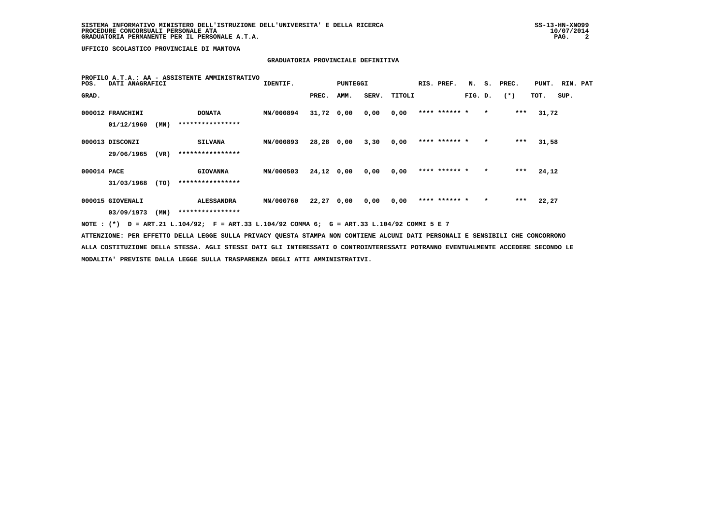# **GRADUATORIA PROVINCIALE DEFINITIVA**

| GRAD.<br>SERV.<br>$(*)$<br>SUP.<br>PREC.<br>TITOLI<br>FIG. D.<br>TOT.<br>AMM.<br>**** ****** *<br>***<br>MN/000894<br>31,72 0,00<br>$\star$<br>31,72<br>000012 FRANCHINI<br><b>DONATA</b><br>0,00<br>0,00 |  |
|-----------------------------------------------------------------------------------------------------------------------------------------------------------------------------------------------------------|--|
|                                                                                                                                                                                                           |  |
|                                                                                                                                                                                                           |  |
| ****************<br>01/12/1960<br>(MN)                                                                                                                                                                    |  |
| **** ****** *<br>***<br>MN/000893<br>28,28 0,00<br>$\star$<br>31,58<br>000013 DISCONZI<br>3,30<br>0,00<br><b>SILVANA</b>                                                                                  |  |
| ****************<br>29/06/1965<br>(VR)                                                                                                                                                                    |  |
| **** ****** *<br>$***$<br>$24,12$ 0,00<br>24,12<br>000014 PACE<br>MN/000503<br>0,00<br>0,00<br>$\star$<br><b>GIOVANNA</b>                                                                                 |  |
| ****************<br>31/03/1968<br>(TO)                                                                                                                                                                    |  |
| **** ****** *<br>22,27 0,00<br>***<br>22,27<br>000015 GIOVENALI<br><b>ALESSANDRA</b><br><b>MN/000760</b><br>0,00<br>0,00<br>$\star$                                                                       |  |
| ****************<br>03/09/1973<br>(MN)                                                                                                                                                                    |  |
| NOTE : (*) D = ART.21 L.104/92; F = ART.33 L.104/92 COMMA 6; G = ART.33 L.104/92 COMMI 5 E 7                                                                                                              |  |
| ATTENZIONE: PER EFFETTO DELLA LEGGE SULLA PRIVACY QUESTA STAMPA NON CONTIENE ALCUNI DATI PERSONALI E SENSIBILI CHE CONCORRONO                                                                             |  |
| ALLA COSTITUZIONE DELLA STESSA. AGLI STESSI DATI GLI INTERESSATI O CONTROINTERESSATI POTRANNO EVENTUALMENTE ACCEDERE SECONDO LE                                                                           |  |

 **MODALITA' PREVISTE DALLA LEGGE SULLA TRASPARENZA DEGLI ATTI AMMINISTRATIVI.**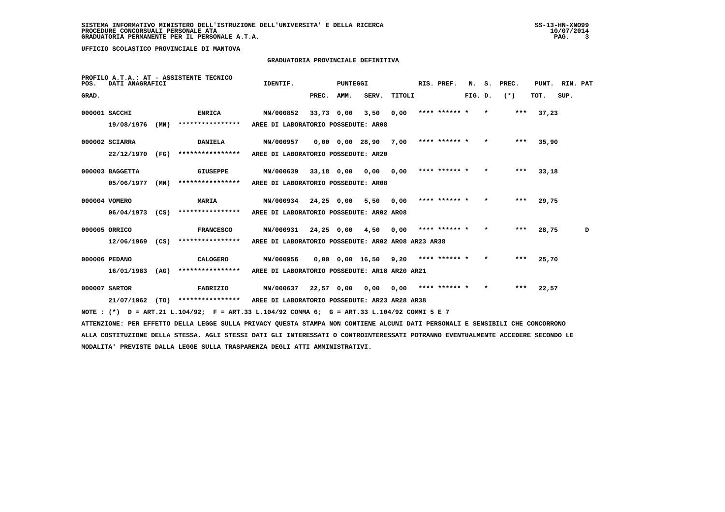## **GRADUATORIA PROVINCIALE DEFINITIVA**

| POS.  | DATI ANAGRAFICI   |      | PROFILO A.T.A.: AT - ASSISTENTE TECNICO                                                                                         | IDENTIF.                                           |            | PUNTEGGI   |                                            |           | RIS. PREF.    | N.      | s.      | PREC. | PUNT. | RIN. PAT |   |
|-------|-------------------|------|---------------------------------------------------------------------------------------------------------------------------------|----------------------------------------------------|------------|------------|--------------------------------------------|-----------|---------------|---------|---------|-------|-------|----------|---|
| GRAD. |                   |      |                                                                                                                                 |                                                    | PREC. AMM. |            | SERV.                                      | TITOLI    |               | FIG. D. |         | $(*)$ | TOT.  | SUP.     |   |
|       | 000001 SACCHI     |      | <b>ENRICA</b>                                                                                                                   | MN/000852                                          |            | 33,73 0,00 |                                            | 3,50 0,00 | **** ****** * |         | $\star$ | $***$ | 37,23 |          |   |
|       | 19/08/1976        | (MN) | ****************                                                                                                                | AREE DI LABORATORIO POSSEDUTE: AR08                |            |            |                                            |           |               |         |         |       |       |          |   |
|       | 000002 SCIARRA    |      | <b>DANIELA</b>                                                                                                                  | <b>MN/000957</b>                                   |            |            | $0,00$ $0,00$ $28,90$ $7,00$ **** ****** * |           |               |         | $\star$ | ***   | 35,90 |          |   |
|       | 22/12/1970        | (FG) | ****************                                                                                                                | AREE DI LABORATORIO POSSEDUTE: AR20                |            |            |                                            |           |               |         |         |       |       |          |   |
|       | 000003 BAGGETTA   |      | GIUSEPPE                                                                                                                        | MN/000639 33,18 0,00 0,00 0,00                     |            |            |                                            |           | **** ****** * |         | $\star$ | ***   | 33,18 |          |   |
|       | 05/06/1977        | (MN) | ****************                                                                                                                | AREE DI LABORATORIO POSSEDUTE: AR08                |            |            |                                            |           |               |         |         |       |       |          |   |
|       | 000004 VOMERO     |      | <b>MARIA</b>                                                                                                                    | MN/000934 24,25 0,00 5,50 0,00                     |            |            |                                            |           | **** ****** * |         | $\star$ | ***   | 29,75 |          |   |
|       | $06/04/1973$ (CS) |      | ****************                                                                                                                | AREE DI LABORATORIO POSSEDUTE: AR02 AR08           |            |            |                                            |           |               |         |         |       |       |          |   |
|       | 000005 ORRICO     |      | <b>FRANCESCO</b>                                                                                                                | MN/000931 24,25 0,00 4,50                          |            |            |                                            | 0,00      | **** ****** * |         | $\star$ | ***   | 28,75 |          | D |
|       | $12/06/1969$ (CS) |      | ****************                                                                                                                | AREE DI LABORATORIO POSSEDUTE: AR02 AR08 AR23 AR38 |            |            |                                            |           |               |         |         |       |       |          |   |
|       | 000006 PEDANO     |      | CALOGERO                                                                                                                        | MN/000956                                          |            |            | $0.00$ $0.00$ $16.50$ $9.20$ **** ****** * |           |               |         | $\star$ | ***   | 25,70 |          |   |
|       | $16/01/1983$ (AG) |      | ****************                                                                                                                | AREE DI LABORATORIO POSSEDUTE: AR18 AR20 AR21      |            |            |                                            |           |               |         |         |       |       |          |   |
|       | 000007 SARTOR     |      | FABRIZIO                                                                                                                        |                                                    |            |            |                                            |           |               |         | $\star$ | ***   | 22,57 |          |   |
|       |                   |      | 21/07/1962 (TO) *************** AREE DI LABORATORIO POSSEDUTE: AR23 AR28 AR38                                                   |                                                    |            |            |                                            |           |               |         |         |       |       |          |   |
|       |                   |      | NOTE : (*) D = ART.21 L.104/92; F = ART.33 L.104/92 COMMA 6; G = ART.33 L.104/92 COMMI 5 E 7                                    |                                                    |            |            |                                            |           |               |         |         |       |       |          |   |
|       |                   |      | ATTENZIONE: PER EFFETTO DELLA LEGGE SULLA PRIVACY QUESTA STAMPA NON CONTIENE ALCUNI DATI PERSONALI E SENSIBILI CHE CONCORRONO   |                                                    |            |            |                                            |           |               |         |         |       |       |          |   |
|       |                   |      | ALLA COSTITUZIONE DELLA STESSA. AGLI STESSI DATI GLI INTERESSATI O CONTROINTERESSATI POTRANNO EVENTUALMENTE ACCEDERE SECONDO LE |                                                    |            |            |                                            |           |               |         |         |       |       |          |   |
|       |                   |      | MODALITA' PREVISTE DALLA LEGGE SULLA TRASPARENZA DEGLI ATTI AMMINISTRATIVI.                                                     |                                                    |            |            |                                            |           |               |         |         |       |       |          |   |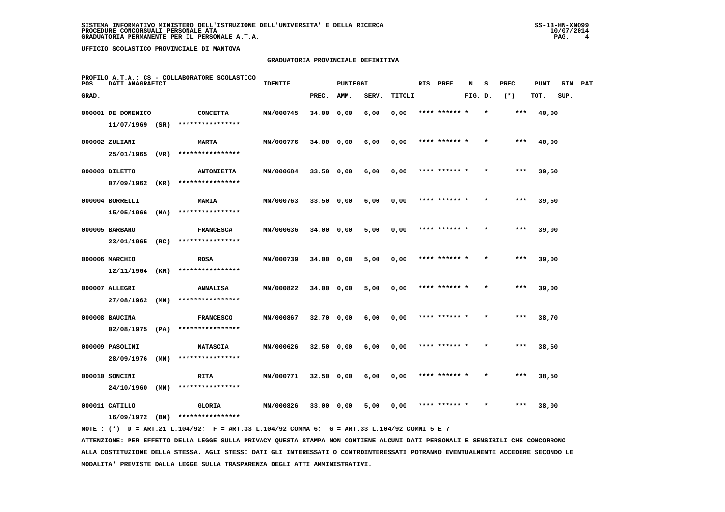### **GRADUATORIA PROVINCIALE DEFINITIVA**

| POS.  | DATI ANAGRAFICI    |      | PROFILO A.T.A.: CS - COLLABORATORE SCOLASTICO | IDENTIF.  |              | <b>PUNTEGGI</b> |       |        | RIS. PREF.    | N.      | s.      | PREC. | PUNT. | RIN. PAT |  |
|-------|--------------------|------|-----------------------------------------------|-----------|--------------|-----------------|-------|--------|---------------|---------|---------|-------|-------|----------|--|
| GRAD. |                    |      |                                               |           | PREC.        | AMM.            | SERV. | TITOLI |               | FIG. D. |         | $(*)$ | TOT.  | SUP.     |  |
|       | 000001 DE DOMENICO |      | <b>CONCETTA</b>                               | MN/000745 | 34,00 0,00   |                 | 6,00  | 0,00   | **** ****** * |         |         | ***   | 40,00 |          |  |
|       | 11/07/1969         | (SR) | ****************                              |           |              |                 |       |        |               |         |         |       |       |          |  |
|       | 000002 ZULIANI     |      | <b>MARTA</b>                                  | MN/000776 | 34,00 0,00   |                 | 6,00  | 0,00   | **** ****** * |         |         | ***   | 40,00 |          |  |
|       | 25/01/1965 (VR)    |      | ****************                              |           |              |                 |       |        |               |         |         |       |       |          |  |
|       | 000003 DILETTO     |      | <b>ANTONIETTA</b>                             | MN/000684 | $33,50$ 0,00 |                 | 6,00  | 0,00   | **** ****** * |         |         | $***$ | 39,50 |          |  |
|       | 07/09/1962         | (KR) | ****************                              |           |              |                 |       |        |               |         |         |       |       |          |  |
|       | 000004 BORRELLI    |      | MARIA                                         | MN/000763 | 33,50 0,00   |                 | 6,00  | 0,00   | **** ****** * |         |         | $***$ | 39,50 |          |  |
|       | 15/05/1966         | (NA) | ****************                              |           |              |                 |       |        |               |         |         |       |       |          |  |
|       | 000005 BARBARO     |      | <b>FRANCESCA</b>                              | MN/000636 | 34,00 0,00   |                 | 5,00  | 0,00   | **** ****** * |         |         | $***$ | 39,00 |          |  |
|       | 23/01/1965         | (RC) | ****************                              |           |              |                 |       |        |               |         |         |       |       |          |  |
|       | 000006 MARCHIO     |      | <b>ROSA</b>                                   | MN/000739 | 34,00 0,00   |                 | 5,00  | 0,00   | **** ****** * |         |         | $***$ | 39,00 |          |  |
|       | 12/11/1964         | (KR) | ****************                              |           |              |                 |       |        |               |         |         |       |       |          |  |
|       | 000007 ALLEGRI     |      | <b>ANNALISA</b>                               | MN/000822 | $34,00$ 0,00 |                 | 5,00  | 0,00   | **** ****** * |         |         | ***   | 39,00 |          |  |
|       | 27/08/1962         | (MN) | ****************                              |           |              |                 |       |        |               |         |         |       |       |          |  |
|       | 000008 BAUCINA     |      | <b>FRANCESCO</b>                              | MN/000867 | 32,70 0,00   |                 | 6,00  | 0,00   |               |         |         | ***   | 38,70 |          |  |
|       | 02/08/1975 (PA)    |      | ****************                              |           |              |                 |       |        |               |         |         |       |       |          |  |
|       | 000009 PASOLINI    |      | <b>NATASCIA</b>                               | MN/000626 | $32,50$ 0,00 |                 | 6,00  | 0,00   | **** ****** * |         |         | $***$ | 38,50 |          |  |
|       | 28/09/1976         | (MN) | ****************                              |           |              |                 |       |        |               |         |         |       |       |          |  |
|       | 000010 SONCINI     |      | <b>RITA</b>                                   | MN/000771 | $32,50$ 0,00 |                 | 6,00  | 0,00   | **** ****** * |         | $\star$ | ***   | 38,50 |          |  |
|       | 24/10/1960         | (MN) | ****************                              |           |              |                 |       |        |               |         |         |       |       |          |  |
|       | 000011 CATILLO     |      | GLORIA                                        | MN/000826 | 33,00 0,00   |                 | 5,00  | 0,00   | **** ****** * |         |         | ***   | 38,00 |          |  |
|       | 16/09/1972 (BN)    |      | ****************                              |           |              |                 |       |        |               |         |         |       |       |          |  |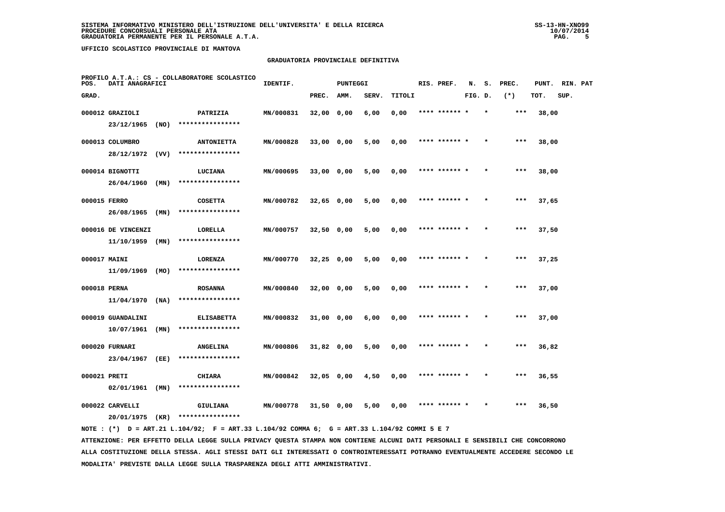### **GRADUATORIA PROVINCIALE DEFINITIVA**

| POS.         | DATI ANAGRAFICI    |      | PROFILO A.T.A.: CS - COLLABORATORE SCOLASTICO | IDENTIF.  |              | <b>PUNTEGGI</b> |       |        | RIS. PREF.    | N.      | s. | PREC. | PUNT. | RIN. PAT |  |
|--------------|--------------------|------|-----------------------------------------------|-----------|--------------|-----------------|-------|--------|---------------|---------|----|-------|-------|----------|--|
| GRAD.        |                    |      |                                               |           | PREC.        | AMM.            | SERV. | TITOLI |               | FIG. D. |    | $(*)$ | TOT.  | SUP.     |  |
|              | 000012 GRAZIOLI    |      | PATRIZIA                                      | MN/000831 | 32,00 0,00   |                 | 6,00  | 0,00   | **** ****** * |         |    | ***   | 38,00 |          |  |
|              | 23/12/1965         | (NO) | ****************                              |           |              |                 |       |        |               |         |    |       |       |          |  |
|              | 000013 COLUMBRO    |      | <b>ANTONIETTA</b>                             | MN/000828 | $33,00$ 0,00 |                 | 5,00  | 0,00   | **** ****** * |         |    | ***   | 38,00 |          |  |
|              | 28/12/1972 (VV)    |      | ****************                              |           |              |                 |       |        |               |         |    |       |       |          |  |
|              | 000014 BIGNOTTI    |      | LUCIANA                                       | MN/000695 | 33,00 0,00   |                 | 5,00  | 0,00   | **** ****** * |         |    | $***$ | 38,00 |          |  |
|              | 26/04/1960         | (MN) | ****************                              |           |              |                 |       |        |               |         |    |       |       |          |  |
| 000015 FERRO |                    |      | <b>COSETTA</b>                                | MN/000782 | $32,65$ 0,00 |                 | 5,00  | 0,00   | **** ****** * |         |    | ***   | 37,65 |          |  |
|              | 26/08/1965         | (MN) | ****************                              |           |              |                 |       |        |               |         |    |       |       |          |  |
|              | 000016 DE VINCENZI |      | LORELLA                                       | MN/000757 | $32,50$ 0,00 |                 | 5,00  | 0,00   | **** ****** * |         |    | $***$ | 37,50 |          |  |
|              | 11/10/1959         | (MN) | ****************                              |           |              |                 |       |        |               |         |    |       |       |          |  |
| 000017 MAINI |                    |      | LORENZA                                       | MN/000770 | $32,25$ 0,00 |                 | 5,00  | 0,00   | **** ****** * |         |    | $***$ | 37,25 |          |  |
|              | 11/09/1969         | (MO) | ****************                              |           |              |                 |       |        |               |         |    |       |       |          |  |
| 000018 PERNA |                    |      | <b>ROSANNA</b>                                | MN/000840 | 32,00 0,00   |                 | 5,00  | 0,00   | **** ****** * |         |    | $***$ | 37,00 |          |  |
|              | $11/04/1970$ (NA)  |      | ****************                              |           |              |                 |       |        |               |         |    |       |       |          |  |
|              | 000019 GUANDALINI  |      | <b>ELISABETTA</b>                             | MN/000832 | 31,00 0,00   |                 | 6,00  | 0,00   | **** ******   |         |    | ***   | 37,00 |          |  |
|              | 10/07/1961         | (MN) | ****************                              |           |              |                 |       |        |               |         |    |       |       |          |  |
|              | 000020 FURNARI     |      | <b>ANGELINA</b>                               | MN/000806 | $31,82$ 0,00 |                 | 5,00  | 0,00   | **** ****** * |         |    | $***$ | 36,82 |          |  |
|              | 23/04/1967         | (EE) | ****************                              |           |              |                 |       |        |               |         |    |       |       |          |  |
| 000021 PRETI |                    |      | <b>CHIARA</b>                                 | MN/000842 | 32,05 0,00   |                 | 4,50  | 0,00   | **** ****** * |         |    | ***   | 36,55 |          |  |
|              | 02/01/1961         | (MN) | ****************                              |           |              |                 |       |        |               |         |    |       |       |          |  |
|              | 000022 CARVELLI    |      | GIULIANA                                      | MN/000778 | $31,50$ 0,00 |                 | 5,00  | 0,00   |               |         |    | ***   | 36,50 |          |  |
|              | 20/01/1975         | (KR) | ****************                              |           |              |                 |       |        |               |         |    |       |       |          |  |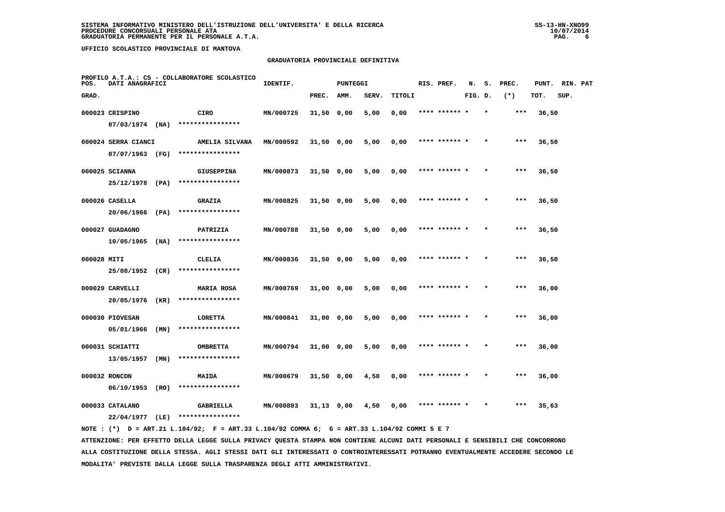### **GRADUATORIA PROVINCIALE DEFINITIVA**

| POS.        | DATI ANAGRAFICI                    |      | PROFILO A.T.A.: CS - COLLABORATORE SCOLASTICO | IDENTIF.  | <b>PUNTEGGI</b> |      |       |        | RIS. PREF.    | N.      | s.      | PREC. | PUNT. | RIN. PAT |  |
|-------------|------------------------------------|------|-----------------------------------------------|-----------|-----------------|------|-------|--------|---------------|---------|---------|-------|-------|----------|--|
| GRAD.       |                                    |      |                                               |           | PREC.           | AMM. | SERV. | TITOLI |               | FIG. D. |         | $(*)$ | TOT.  | SUP.     |  |
|             | 000023 CRISPINO                    |      | CIRO                                          | MN/000725 | $31,50$ 0,00    |      | 5,00  | 0,00   | **** ****** * |         |         | $***$ | 36,50 |          |  |
|             | $07/03/1974$ (NA)                  |      | ****************                              |           |                 |      |       |        |               |         |         |       |       |          |  |
|             | 000024 SERRA CIANCI                |      | AMELIA SILVANA                                | MN/000592 | $31,50$ 0,00    |      | 5,00  | 0,00   | **** ****** * |         |         | ***   | 36,50 |          |  |
|             | 07/07/1963 (FG)                    |      | ****************                              |           |                 |      |       |        |               |         |         |       |       |          |  |
|             | 000025 SCIANNA                     |      | <b>GIUSEPPINA</b>                             | MN/000873 | $31,50$ 0,00    |      | 5,00  | 0,00   | **** ****** * |         |         | $***$ | 36,50 |          |  |
|             | 25/12/1978 (PA)                    |      | ****************                              |           |                 |      |       |        |               |         |         |       |       |          |  |
|             | 000026 CASELLA                     |      | <b>GRAZIA</b>                                 | MN/000825 | $31,50$ 0,00    |      | 5,00  | 0,00   | **** ****** * |         |         | ***   | 36,50 |          |  |
|             | 20/06/1966                         | (PA) | ****************                              |           |                 |      |       |        |               |         |         |       |       |          |  |
|             | 000027 GUADAGNO                    |      | PATRIZIA                                      | MN/000788 | $31,50$ 0,00    |      | 5,00  | 0,00   | **** ****** * |         |         | ***   | 36,50 |          |  |
|             | 10/05/1965                         | (NA) | ****************                              |           |                 |      |       |        |               |         |         |       |       |          |  |
| 000028 MITI |                                    |      | CLELIA                                        | MN/000836 | $31,50$ 0,00    |      | 5,00  | 0,00   | **** ****** * |         |         | $***$ | 36,50 |          |  |
|             | 25/08/1952 (CR)                    |      | ****************                              |           |                 |      |       |        |               |         |         |       |       |          |  |
|             | 000029 CARVELLI                    |      | <b>MARIA ROSA</b>                             | MN/000769 | 31,00 0,00      |      | 5,00  | 0,00   | **** ****** * |         |         | $***$ | 36,00 |          |  |
|             | 20/05/1976                         | (KR) | ****************                              |           |                 |      |       |        |               |         |         |       |       |          |  |
|             | 000030 PIOVESAN                    |      | LORETTA<br>****************                   | MN/000841 | 31,00 0,00      |      | 5,00  | 0,00   |               |         |         | ***   | 36,00 |          |  |
|             | 05/01/1966                         | (MN) |                                               |           |                 |      |       |        |               |         |         |       |       |          |  |
|             | 000031 SCHIATTI                    |      | <b>OMBRETTA</b><br>****************           | MN/000794 | $31,00$ 0,00    |      | 5,00  | 0,00   | **** ****** * |         |         | $***$ | 36,00 |          |  |
|             | 13/05/1957                         | (MN) |                                               |           |                 |      |       |        |               |         |         |       |       |          |  |
|             | 000032 RONCON<br>06/10/1953        | (RO) | MAIDA<br>****************                     | MN/000679 | 31,50 0,00      |      | 4,50  | 0,00   | **** ****** * |         | $\star$ | $***$ | 36,00 |          |  |
|             |                                    |      |                                               |           |                 |      |       |        |               |         |         |       |       |          |  |
|             | 000033 CATALANO<br>22/04/1977 (LE) |      | GABRIELLA<br>****************                 | MN/000803 | $31,13$ 0,00    |      | 4,50  | 0,00   | **** ****** * |         |         | $***$ | 35,63 |          |  |
|             |                                    |      |                                               |           |                 |      |       |        |               |         |         |       |       |          |  |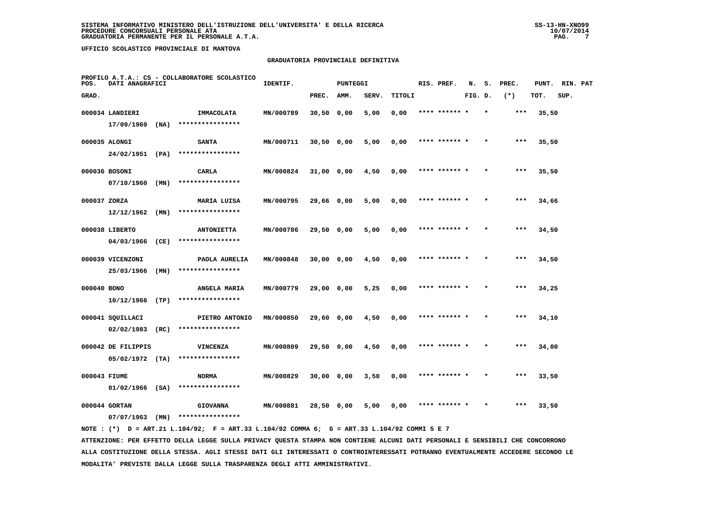### **GRADUATORIA PROVINCIALE DEFINITIVA**

| POS.        | DATI ANAGRAFICI                         |      | PROFILO A.T.A.: CS - COLLABORATORE SCOLASTICO | IDENTIF.  |              | <b>PUNTEGGI</b> |       |        |  | RIS. PREF.    | N.      | s.      | PREC. | PUNT. | RIN. PAT |  |
|-------------|-----------------------------------------|------|-----------------------------------------------|-----------|--------------|-----------------|-------|--------|--|---------------|---------|---------|-------|-------|----------|--|
| GRAD.       |                                         |      |                                               |           | PREC.        | AMM.            | SERV. | TITOLI |  |               | FIG. D. |         | $(*)$ | TOT.  | SUP.     |  |
|             | 000034 LANDIERI                         |      | IMMACOLATA                                    | MN/000789 | $30,50$ 0,00 |                 | 5,00  | 0,00   |  | **** ****** * |         |         | $***$ | 35,50 |          |  |
|             | 17/09/1969                              | (NA) | ****************                              |           |              |                 |       |        |  |               |         |         |       |       |          |  |
|             | 000035 ALONGI                           |      | <b>SANTA</b>                                  | MN/000711 | $30,50$ 0,00 |                 | 5,00  | 0,00   |  | **** ****** * |         |         | ***   | 35,50 |          |  |
|             | 24/02/1951 (PA)                         |      | ****************                              |           |              |                 |       |        |  |               |         |         |       |       |          |  |
|             | 000036 BOSONI                           |      | CARLA                                         | MN/000824 | 31,00 0,00   |                 | 4,50  | 0,00   |  | **** ****** * |         |         | $***$ | 35,50 |          |  |
|             | 07/10/1960                              | (MN) | ****************                              |           |              |                 |       |        |  |               |         |         |       |       |          |  |
|             | 000037 ZORZA                            |      | MARIA LUISA                                   | MN/000795 | 29,66 0,00   |                 | 5,00  | 0,00   |  | **** ****** * |         | $\star$ | ***   | 34,66 |          |  |
|             | 12/12/1962                              | (MN) | ****************                              |           |              |                 |       |        |  |               |         |         |       |       |          |  |
|             | 000038 LIBERTO                          |      | <b>ANTONIETTA</b>                             | MN/000786 | 29,50 0,00   |                 | 5,00  | 0,00   |  | **** ****** * |         |         | ***   | 34,50 |          |  |
|             | 04/03/1966                              | (CE) | ****************                              |           |              |                 |       |        |  |               |         |         |       |       |          |  |
|             | 000039 VICENZONI                        |      | PAOLA AURELIA                                 | MN/000848 | 30,00 0,00   |                 | 4,50  | 0,00   |  | **** ****** * |         |         | $***$ | 34,50 |          |  |
|             | 25/03/1966                              | (MN) | ****************                              |           |              |                 |       |        |  |               |         |         |       |       |          |  |
| 000040 BONO |                                         |      | ANGELA MARIA<br>****************              | MN/000779 | 29,00 0,00   |                 | 5,25  | 0,00   |  | **** ****** * |         |         | $***$ | 34,25 |          |  |
|             | $10/12/1966$ (TP)                       |      |                                               |           |              |                 |       |        |  |               |         |         |       |       |          |  |
|             | 000041 SQUILLACI<br>02/02/1983          | (RC) | PIETRO ANTONIO<br>****************            | MN/000850 | 29,60 0,00   |                 | 4,50  | 0,00   |  |               |         |         | $***$ | 34,10 |          |  |
|             |                                         |      |                                               |           |              |                 |       |        |  |               |         |         |       |       |          |  |
|             | 000042 DE FILIPPIS<br>$05/02/1972$ (TA) |      | <b>VINCENZA</b><br>****************           | MN/000809 | 29,50 0,00   |                 | 4,50  | 0,00   |  | **** ****** * |         |         | ***   | 34,00 |          |  |
|             |                                         |      |                                               |           |              |                 |       |        |  |               |         |         |       |       |          |  |
|             | 000043 FIUME<br>$01/02/1966$ (SA)       |      | <b>NORMA</b><br>****************              | MN/000829 | 30,00 0,00   |                 | 3,50  | 0,00   |  | **** ****** * |         | $\star$ | $***$ | 33,50 |          |  |
|             |                                         |      |                                               |           |              |                 |       |        |  | **** ****** * |         |         | ***   |       |          |  |
|             | 000044 GORTAN<br>$07/07/1963$ (MN)      |      | <b>GIOVANNA</b><br>****************           | MN/000881 | 28,50 0,00   |                 | 5,00  | 0,00   |  |               |         |         |       | 33,50 |          |  |
|             |                                         |      |                                               |           |              |                 |       |        |  |               |         |         |       |       |          |  |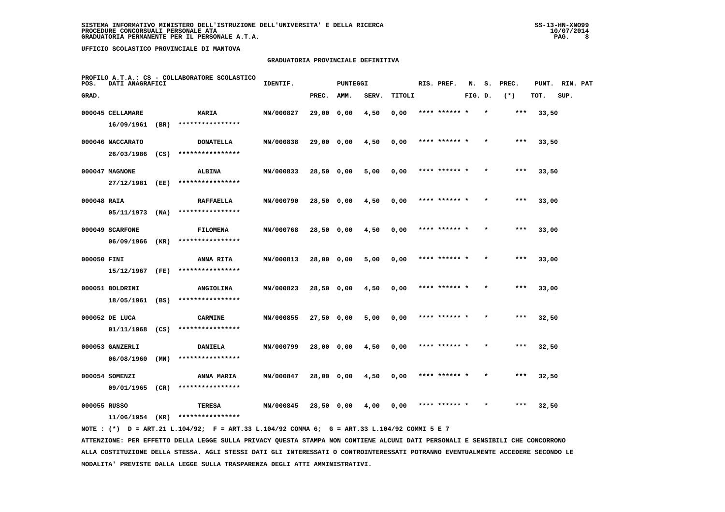## **GRADUATORIA PROVINCIALE DEFINITIVA**

| POS.         | DATI ANAGRAFICI  |      | PROFILO A.T.A.: CS - COLLABORATORE SCOLASTICO | IDENTIF.  |              | PUNTEGGI |       |        | RIS. PREF.    | N.      | s.      | PREC. | PUNT. | RIN. PAT |  |
|--------------|------------------|------|-----------------------------------------------|-----------|--------------|----------|-------|--------|---------------|---------|---------|-------|-------|----------|--|
| GRAD.        |                  |      |                                               |           | PREC.        | AMM.     | SERV. | TITOLI |               | FIG. D. |         | $(*)$ | TOT.  | SUP.     |  |
|              | 000045 CELLAMARE |      | MARIA                                         | MN/000827 | 29,00 0,00   |          | 4,50  | 0,00   | **** ****** * |         | $\star$ | ***   | 33,50 |          |  |
|              | 16/09/1961       | (BR) | ****************                              |           |              |          |       |        |               |         |         |       |       |          |  |
|              | 000046 NACCARATO |      | <b>DONATELLA</b>                              | MN/000838 | 29,00 0,00   |          | 4,50  | 0,00   | **** ******   |         |         | $***$ | 33,50 |          |  |
|              | 26/03/1986       | (CS) | ****************                              |           |              |          |       |        |               |         |         |       |       |          |  |
|              | 000047 MAGNONE   |      | <b>ALBINA</b>                                 | MN/000833 | $28,50$ 0,00 |          | 5,00  | 0,00   | **** ****** * |         | $\star$ | ***   | 33,50 |          |  |
|              | 27/12/1981       | (EE) | ****************                              |           |              |          |       |        |               |         |         |       |       |          |  |
| 000048 RAIA  |                  |      | <b>RAFFAELLA</b>                              | MN/000790 | 28,50 0,00   |          | 4,50  | 0,00   | **** ****** * |         |         | ***   | 33,00 |          |  |
|              | 05/11/1973       | (NA) | ****************                              |           |              |          |       |        |               |         |         |       |       |          |  |
|              | 000049 SCARFONE  |      | <b>FILOMENA</b>                               | MN/000768 | 28,50 0,00   |          | 4,50  | 0,00   | **** ****** * |         |         | $***$ | 33,00 |          |  |
|              | 06/09/1966       | (KR) | ****************                              |           |              |          |       |        |               |         |         |       |       |          |  |
| 000050 FINI  |                  |      | <b>ANNA RITA</b>                              | MN/000813 | 28,00 0,00   |          | 5,00  | 0,00   | **** ****** * |         | $\star$ | $***$ | 33,00 |          |  |
|              | 15/12/1967       | (FE) | ****************                              |           |              |          |       |        |               |         |         |       |       |          |  |
|              | 000051 BOLDRINI  |      | <b>ANGIOLINA</b>                              | MN/000823 | 28,50 0,00   |          | 4,50  | 0,00   |               |         |         | $***$ | 33,00 |          |  |
|              | 18/05/1961       | (BS) | ****************                              |           |              |          |       |        |               |         |         |       |       |          |  |
|              | 000052 DE LUCA   |      | <b>CARMINE</b>                                | MN/000855 | $27,50$ 0,00 |          | 5,00  | 0,00   | **** ****** * |         |         | $***$ | 32,50 |          |  |
|              | 01/11/1968       | (CS) | ****************                              |           |              |          |       |        |               |         |         |       |       |          |  |
|              | 000053 GANZERLI  |      | <b>DANIELA</b>                                | MN/000799 | 28,00 0,00   |          | 4,50  | 0,00   | **** ****** * |         |         | $***$ | 32,50 |          |  |
|              | 06/08/1960       | (MN) | ****************                              |           |              |          |       |        |               |         |         |       |       |          |  |
|              | 000054 SOMENZI   |      | ANNA MARIA                                    | MN/000847 | 28,00 0,00   |          | 4,50  | 0,00   | **** ****** * |         |         | $***$ | 32,50 |          |  |
|              | 09/01/1965 (CR)  |      | ****************                              |           |              |          |       |        |               |         |         |       |       |          |  |
| 000055 RUSSO |                  |      | TERESA<br>****************                    | MN/000845 | 28,50 0,00   |          | 4,00  | 0,00   |               |         |         | ***   | 32,50 |          |  |
|              | 11/06/1954       | (KR) |                                               |           |              |          |       |        |               |         |         |       |       |          |  |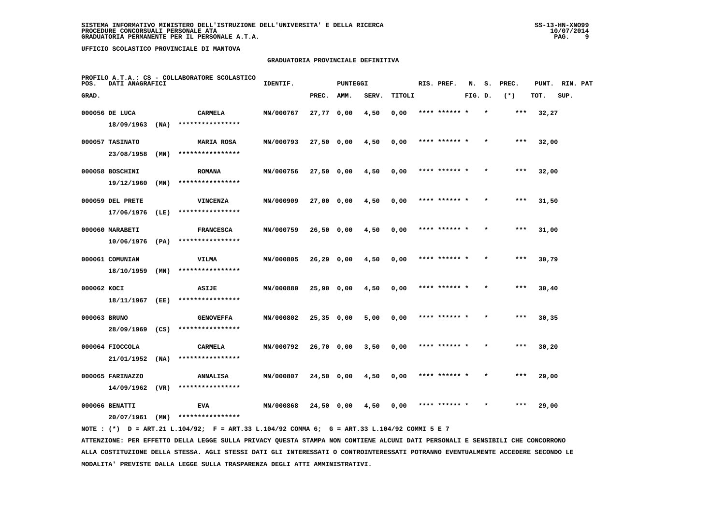### **GRADUATORIA PROVINCIALE DEFINITIVA**

| POS.        | DATI ANAGRAFICI   |      | PROFILO A.T.A.: CS - COLLABORATORE SCOLASTICO | IDENTIF.  |              | PUNTEGGI |       |        | RIS. PREF.    | N.      | s.      | PREC. | PUNT. | RIN. PAT |  |
|-------------|-------------------|------|-----------------------------------------------|-----------|--------------|----------|-------|--------|---------------|---------|---------|-------|-------|----------|--|
| GRAD.       |                   |      |                                               |           | PREC.        | AMM.     | SERV. | TITOLI |               | FIG. D. |         | $(*)$ | TOT.  | SUP.     |  |
|             | 000056 DE LUCA    |      | <b>CARMELA</b>                                | MN/000767 | 27,77 0,00   |          | 4,50  | 0,00   | **** ****** * |         | $\star$ | ***   | 32,27 |          |  |
|             | 18/09/1963        | (NA) | ****************                              |           |              |          |       |        |               |         |         |       |       |          |  |
|             | 000057 TASINATO   |      | <b>MARIA ROSA</b>                             | MN/000793 | 27,50 0,00   |          | 4,50  | 0,00   | **** ******   |         |         | $***$ | 32,00 |          |  |
|             | 23/08/1958        | (MN) | ****************                              |           |              |          |       |        |               |         |         |       |       |          |  |
|             | 000058 BOSCHINI   |      | <b>ROMANA</b>                                 | MN/000756 | $27,50$ 0,00 |          | 4,50  | 0,00   | **** ****** * |         | $\star$ | ***   | 32,00 |          |  |
|             | 19/12/1960        | (MN) | ****************                              |           |              |          |       |        |               |         |         |       |       |          |  |
|             | 000059 DEL PRETE  |      | VINCENZA                                      | MN/000909 | 27,00 0,00   |          | 4,50  | 0,00   | **** ****** * |         |         | ***   | 31,50 |          |  |
|             | 17/06/1976        | (LE) | ****************                              |           |              |          |       |        |               |         |         |       |       |          |  |
|             | 000060 MARABETI   |      | <b>FRANCESCA</b>                              | MN/000759 | 26,50 0,00   |          | 4,50  | 0,00   | **** ****** * |         |         | $***$ | 31,00 |          |  |
|             | $10/06/1976$ (PA) |      | ****************                              |           |              |          |       |        |               |         |         |       |       |          |  |
|             | 000061 COMUNIAN   |      | VILMA                                         | MN/000805 | 26,29 0,00   |          | 4,50  | 0,00   | **** ****** * |         | $\star$ | $***$ | 30,79 |          |  |
|             | 18/10/1959        | (MN) | ****************                              |           |              |          |       |        |               |         |         |       |       |          |  |
| 000062 KOCI |                   |      | <b>ASIJE</b>                                  | MN/000880 | 25,90 0,00   |          | 4,50  | 0,00   |               |         |         | $***$ | 30,40 |          |  |
|             | 18/11/1967        | (EE) | ****************                              |           |              |          |       |        |               |         |         |       |       |          |  |
|             | 000063 BRUNO      |      | <b>GENOVEFFA</b>                              | MN/000802 | $25,35$ 0,00 |          | 5,00  | 0,00   | **** ****** * |         |         | $***$ | 30,35 |          |  |
|             | 28/09/1969        | (CS) | ****************                              |           |              |          |       |        |               |         |         |       |       |          |  |
|             | 000064 FIOCCOLA   |      | <b>CARMELA</b>                                | MN/000792 | 26,70 0,00   |          | 3,50  | 0,00   | **** ****** * |         |         | $***$ | 30,20 |          |  |
|             | 21/01/1952        | (NA) | ****************                              |           |              |          |       |        |               |         |         |       |       |          |  |
|             | 000065 FARINAZZO  |      | <b>ANNALISA</b>                               | MN/000807 | 24,50 0,00   |          | 4,50  | 0,00   | **** ****** * |         |         | $***$ | 29,00 |          |  |
|             | 14/09/1962        | (VR) | ****************                              |           |              |          |       |        |               |         |         |       |       |          |  |
|             | 000066 BENATTI    |      | <b>EVA</b><br>****************                | MN/000868 | 24,50 0,00   |          | 4,50  | 0,00   |               |         |         | ***   | 29,00 |          |  |
|             | 20/07/1961        | (MN) |                                               |           |              |          |       |        |               |         |         |       |       |          |  |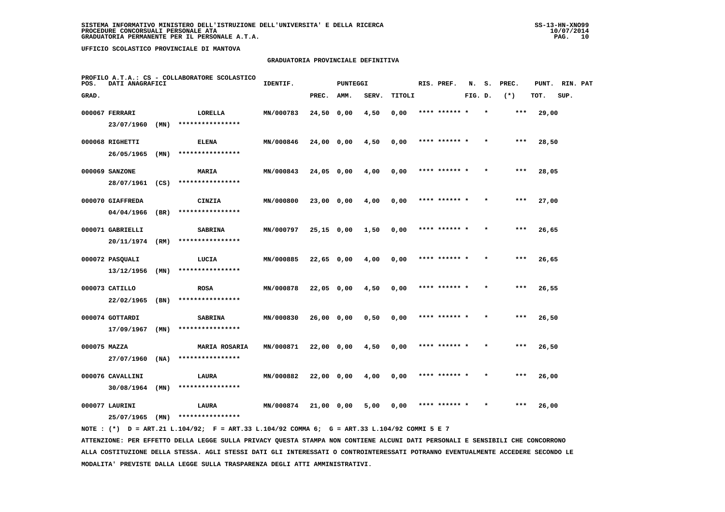### **GRADUATORIA PROVINCIALE DEFINITIVA**

| POS.         | DATI ANAGRAFICI  |      | PROFILO A.T.A.: CS - COLLABORATORE SCOLASTICO | IDENTIF.  |              | <b>PUNTEGGI</b> |       |        |  | RIS. PREF.    | N.      | s. | PREC. | PUNT. | RIN. PAT |  |
|--------------|------------------|------|-----------------------------------------------|-----------|--------------|-----------------|-------|--------|--|---------------|---------|----|-------|-------|----------|--|
| GRAD.        |                  |      |                                               |           | PREC.        | AMM.            | SERV. | TITOLI |  |               | FIG. D. |    | $(*)$ | TOT.  | SUP.     |  |
|              | 000067 FERRARI   |      | LORELLA                                       | MN/000783 | 24,50 0,00   |                 | 4,50  | 0,00   |  | **** ****** * |         |    | $***$ | 29,00 |          |  |
|              | 23/07/1960       | (MN) | ****************                              |           |              |                 |       |        |  |               |         |    |       |       |          |  |
|              | 000068 RIGHETTI  |      | <b>ELENA</b>                                  | MN/000846 | 24,00 0,00   |                 | 4,50  | 0,00   |  | **** ****** * |         |    | $***$ | 28,50 |          |  |
|              | 26/05/1965       | (MN) | ****************                              |           |              |                 |       |        |  |               |         |    |       |       |          |  |
|              | 000069 SANZONE   |      | MARIA                                         | MN/000843 | 24,05 0,00   |                 | 4,00  | 0,00   |  | **** ****** * |         |    | ***   | 28,05 |          |  |
|              | 28/07/1961       | (CS) | ****************                              |           |              |                 |       |        |  |               |         |    |       |       |          |  |
|              | 000070 GIAFFREDA |      | CINZIA                                        | MN/000800 | 23,00 0,00   |                 | 4,00  | 0,00   |  | **** ****** * |         |    | ***   | 27,00 |          |  |
|              | 04/04/1966       | (BR) | ****************                              |           |              |                 |       |        |  |               |         |    |       |       |          |  |
|              | 000071 GABRIELLI |      | <b>SABRINA</b>                                | MN/000797 | $25,15$ 0,00 |                 | 1,50  | 0,00   |  | **** ****** * |         |    | $***$ | 26,65 |          |  |
|              | 20/11/1974       | (RM) | ****************                              |           |              |                 |       |        |  |               |         |    |       |       |          |  |
|              | 000072 PASQUALI  |      | LUCIA                                         | MN/000885 | $22,65$ 0,00 |                 | 4,00  | 0,00   |  | **** ****** * |         |    | $***$ | 26,65 |          |  |
|              | 13/12/1956       | (MN) | ****************                              |           |              |                 |       |        |  |               |         |    |       |       |          |  |
|              | 000073 CATILLO   |      | <b>ROSA</b>                                   | MN/000878 | 22,05 0,00   |                 | 4,50  | 0,00   |  | **** ****** * |         |    | $***$ | 26,55 |          |  |
|              | 22/02/1965       | (BN) | ****************                              |           |              |                 |       |        |  |               |         |    |       |       |          |  |
|              | 000074 GOTTARDI  |      | <b>SABRINA</b>                                | MN/000830 | 26,00 0,00   |                 | 0,50  | 0,00   |  |               |         |    | $***$ | 26,50 |          |  |
|              | 17/09/1967       | (MN) | ****************                              |           |              |                 |       |        |  |               |         |    |       |       |          |  |
| 000075 MAZZA |                  |      | <b>MARIA ROSARIA</b>                          | MN/000871 | $22,00$ 0,00 |                 | 4,50  | 0,00   |  | **** ****** * |         |    | ***   | 26,50 |          |  |
|              | 27/07/1960       | (NA) | ****************                              |           |              |                 |       |        |  |               |         |    |       |       |          |  |
|              | 000076 CAVALLINI |      | LAURA                                         | MN/000882 | 22,00 0,00   |                 | 4,00  | 0,00   |  | **** ****** * |         |    | $***$ | 26,00 |          |  |
|              | 30/08/1964       | (MN) | ****************                              |           |              |                 |       |        |  |               |         |    |       |       |          |  |
|              | 000077 LAURINI   |      | LAURA<br>****************                     | MN/000874 | 21,00 0,00   |                 | 5,00  | 0,00   |  | **** ****** * |         |    | ***   | 26,00 |          |  |
|              | 25/07/1965       | (MN) |                                               |           |              |                 |       |        |  |               |         |    |       |       |          |  |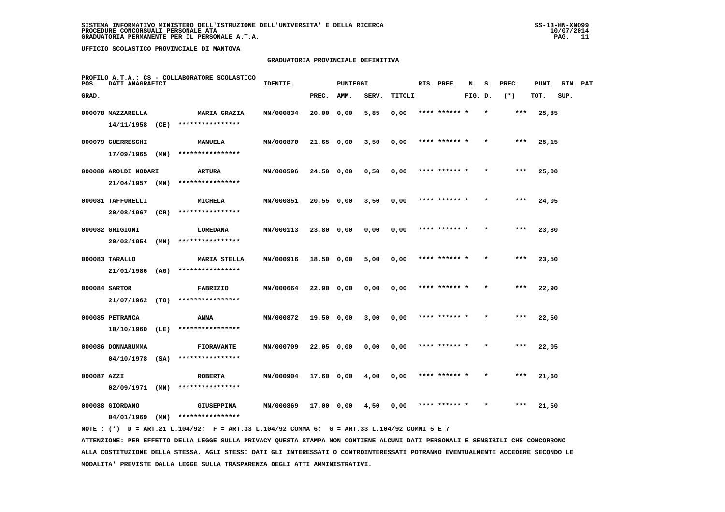### **GRADUATORIA PROVINCIALE DEFINITIVA**

| POS.        | DATI ANAGRAFICI      |      | PROFILO A.T.A.: CS - COLLABORATORE SCOLASTICO | IDENTIF.  |              | <b>PUNTEGGI</b> |       |        |  | RIS. PREF.    | N.      | s. | PREC. | PUNT. | RIN. PAT |  |
|-------------|----------------------|------|-----------------------------------------------|-----------|--------------|-----------------|-------|--------|--|---------------|---------|----|-------|-------|----------|--|
| GRAD.       |                      |      |                                               |           | PREC.        | AMM.            | SERV. | TITOLI |  |               | FIG. D. |    | $(*)$ | TOT.  | SUP.     |  |
|             | 000078 MAZZARELLA    |      | <b>MARIA GRAZIA</b>                           | MN/000834 | $20,00$ 0,00 |                 | 5,85  | 0,00   |  | **** ******   |         |    | ***   | 25,85 |          |  |
|             | 14/11/1958           | (CE) | ****************                              |           |              |                 |       |        |  |               |         |    |       |       |          |  |
|             | 000079 GUERRESCHI    |      | MANUELA                                       | MN/000870 | $21,65$ 0,00 |                 | 3,50  | 0,00   |  | **** ****** * |         |    | ***   | 25,15 |          |  |
|             | $17/09/1965$ (MN)    |      | ****************                              |           |              |                 |       |        |  |               |         |    |       |       |          |  |
|             | 000080 AROLDI NODARI |      | <b>ARTURA</b>                                 | MN/000596 | $24,50$ 0,00 |                 | 0,50  | 0,00   |  | **** ****** * |         |    | $***$ | 25,00 |          |  |
|             | $21/04/1957$ (MN)    |      | ****************                              |           |              |                 |       |        |  |               |         |    |       |       |          |  |
|             | 000081 TAFFURELLI    |      | <b>MICHELA</b>                                | MN/000851 | 20,550,00    |                 | 3,50  | 0,00   |  | **** ****** * |         |    | ***   | 24,05 |          |  |
|             | 20/08/1967           | (CR) | ****************                              |           |              |                 |       |        |  |               |         |    |       |       |          |  |
|             | 000082 GRIGIONI      |      | LOREDANA                                      | MN/000113 | 23,80 0,00   |                 | 0,00  | 0,00   |  | **** ****** * |         |    | $***$ | 23,80 |          |  |
|             | 20/03/1954           | (MN) | ****************                              |           |              |                 |       |        |  |               |         |    |       |       |          |  |
|             | 000083 TARALLO       |      | <b>MARIA STELLA</b>                           | MN/000916 | 18,50 0,00   |                 | 5,00  | 0,00   |  |               |         |    | ***   | 23,50 |          |  |
|             | 21/01/1986 (AG)      |      | ****************                              |           |              |                 |       |        |  |               |         |    |       |       |          |  |
|             | 000084 SARTOR        |      | <b>FABRIZIO</b>                               | MN/000664 | 22,90 0,00   |                 | 0,00  | 0,00   |  | **** ****** * |         |    | ***   | 22,90 |          |  |
|             | 21/07/1962 (TO)      |      | ****************                              |           |              |                 |       |        |  |               |         |    |       |       |          |  |
|             | 000085 PETRANCA      |      | ANNA                                          | MN/000872 | 19,50 0,00   |                 | 3,00  | 0,00   |  | **** ****** * |         |    | ***   | 22,50 |          |  |
|             | 10/10/1960           | (LE) | ****************                              |           |              |                 |       |        |  |               |         |    |       |       |          |  |
|             | 000086 DONNARUMMA    |      | <b>FIORAVANTE</b>                             | MN/000709 | 22,05 0,00   |                 | 0,00  | 0,00   |  | **** ****** * |         |    | $***$ | 22,05 |          |  |
|             | 04/10/1978           | (SA) | ****************                              |           |              |                 |       |        |  |               |         |    |       |       |          |  |
| 000087 AZZI |                      |      | <b>ROBERTA</b>                                | MN/000904 | 17,60 0,00   |                 | 4,00  | 0,00   |  | **** ****** * |         |    | $***$ | 21,60 |          |  |
|             | $02/09/1971$ (MN)    |      | ****************                              |           |              |                 |       |        |  |               |         |    |       |       |          |  |
|             | 000088 GIORDANO      |      | <b>GIUSEPPINA</b><br>****************         | MN/000869 | 17,00 0,00   |                 | 4,50  | 0.00   |  | **** ******   |         |    | ***   | 21,50 |          |  |
|             | 04/01/1969           | (MN) |                                               |           |              |                 |       |        |  |               |         |    |       |       |          |  |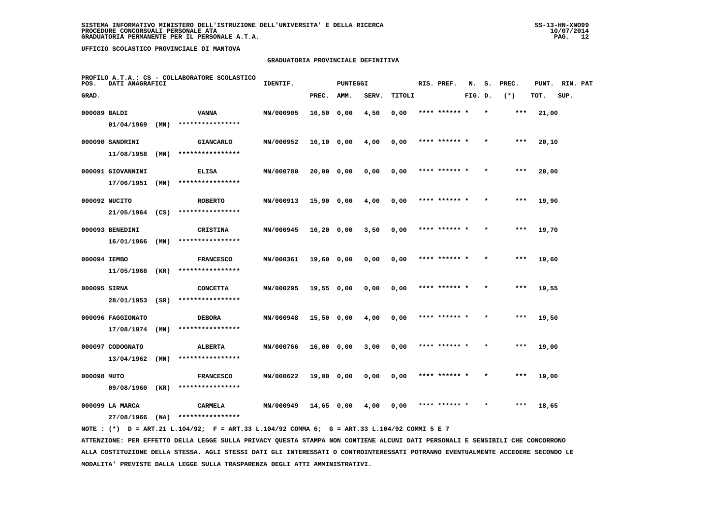### **GRADUATORIA PROVINCIALE DEFINITIVA**

| POS.         | DATI ANAGRAFICI   |      | PROFILO A.T.A.: CS - COLLABORATORE SCOLASTICO | IDENTIF.  |              | <b>PUNTEGGI</b> |       |        | RIS. PREF.    | N.      | s.      | PREC. | PUNT. | RIN. PAT |  |
|--------------|-------------------|------|-----------------------------------------------|-----------|--------------|-----------------|-------|--------|---------------|---------|---------|-------|-------|----------|--|
| GRAD.        |                   |      |                                               |           | PREC.        | AMM.            | SERV. | TITOLI |               | FIG. D. |         | $(*)$ | TOT.  | SUP.     |  |
| 000089 BALDI |                   |      | <b>VANNA</b>                                  | MN/000905 | $16,50$ 0,00 |                 | 4,50  | 0,00   | **** ****** * |         | $\star$ | $***$ | 21,00 |          |  |
|              | 01/04/1969        | (MN) | ****************                              |           |              |                 |       |        |               |         |         |       |       |          |  |
|              | 000090 SANDRINI   |      | <b>GIANCARLO</b>                              | MN/000952 | $16,10$ 0,00 |                 | 4,00  | 0,00   | **** ****** * |         |         | $***$ | 20,10 |          |  |
|              | 11/08/1958        | (MN) | ****************                              |           |              |                 |       |        |               |         |         |       |       |          |  |
|              | 000091 GIOVANNINI |      | <b>ELISA</b>                                  | MN/000780 | 20,00 0,00   |                 | 0,00  | 0,00   | **** ****** * |         |         | $***$ | 20,00 |          |  |
|              | 17/06/1951        | (MN) | ****************                              |           |              |                 |       |        |               |         |         |       |       |          |  |
|              | 000092 NUCITO     |      | <b>ROBERTO</b>                                | MN/000913 | 15,90 0,00   |                 | 4,00  | 0,00   | **** ****** * |         |         | $***$ | 19,90 |          |  |
|              | 21/05/1964 (CS)   |      | ****************                              |           |              |                 |       |        |               |         |         |       |       |          |  |
|              | 000093 BENEDINI   |      | CRISTINA                                      | MN/000945 | $16,20$ 0,00 |                 | 3,50  | 0,00   | **** ****** * |         |         | $***$ | 19,70 |          |  |
|              | 16/01/1966        | (MN) | ****************                              |           |              |                 |       |        |               |         |         |       |       |          |  |
| 000094 IEMBO |                   |      | <b>FRANCESCO</b>                              | MN/000361 | 19,60 0,00   |                 | 0,00  | 0,00   |               |         |         | $***$ | 19,60 |          |  |
|              | 11/05/1968        | (KR) | ****************                              |           |              |                 |       |        |               |         |         |       |       |          |  |
| 000095 SIRNA |                   |      | <b>CONCETTA</b>                               | MN/000295 | $19,55$ 0,00 |                 | 0,00  | 0,00   | **** ******   |         |         | ***   | 19,55 |          |  |
|              | 28/01/1953 (SR)   |      | ****************                              |           |              |                 |       |        |               |         |         |       |       |          |  |
|              | 000096 FAGGIONATO |      | <b>DEBORA</b>                                 | MN/000948 | $15,50$ 0,00 |                 | 4,00  | 0,00   | **** ****** * |         |         | ***   | 19,50 |          |  |
|              | 17/08/1974        | (MN) | ****************                              |           |              |                 |       |        |               |         |         |       |       |          |  |
|              | 000097 CODOGNATO  |      | <b>ALBERTA</b>                                | MN/000766 | 16,00 0,00   |                 | 3,00  | 0,00   | **** ****** * |         |         | ***   | 19,00 |          |  |
|              | 13/04/1962        | (MN) | ****************                              |           |              |                 |       |        |               |         |         |       |       |          |  |
| 000098 MUTO  |                   |      | <b>FRANCESCO</b>                              | MN/000622 | 19,00 0,00   |                 | 0,00  | 0,00   | **** ****** * |         |         | $***$ | 19,00 |          |  |
|              | 09/08/1960        | (KR) | ****************                              |           |              |                 |       |        |               |         |         |       |       |          |  |
|              | 000099 LA MARCA   |      | <b>CARMELA</b>                                | MN/000949 | 14,65 0,00   |                 | 4,00  | 0,00   |               |         |         | ***   | 18,65 |          |  |
|              | 27/08/1966        | (NA) | ****************                              |           |              |                 |       |        |               |         |         |       |       |          |  |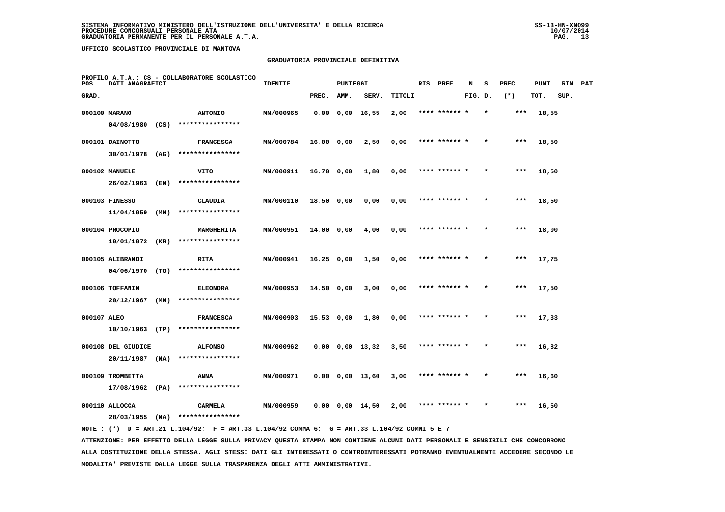### **GRADUATORIA PROVINCIALE DEFINITIVA**

| PROFILO A.T.A.: CS - COLLABORATORE SCOLASTICO<br>POS.<br>DATI ANAGRAFICI |                                  |      |                                      | IDENTIF.<br><b>PUNTEGGI</b> |              |      |                       |        |  | RIS. PREF.    |         | s. | PREC. | PUNT. | RIN. PAT |  |
|--------------------------------------------------------------------------|----------------------------------|------|--------------------------------------|-----------------------------|--------------|------|-----------------------|--------|--|---------------|---------|----|-------|-------|----------|--|
| GRAD.                                                                    |                                  |      |                                      |                             | PREC.        | AMM. | SERV.                 | TITOLI |  |               | FIG. D. |    | $(*)$ | TOT.  | SUP.     |  |
|                                                                          | 000100 MARANO                    |      | <b>ANTONIO</b>                       | MN/000965                   |              |      | $0,00$ $0,00$ $16,55$ | 2,00   |  | **** ****** * |         |    | $***$ | 18,55 |          |  |
|                                                                          | 04/08/1980                       | (CS) | ****************                     |                             |              |      |                       |        |  |               |         |    |       |       |          |  |
|                                                                          | 000101 DAINOTTO                  |      | <b>FRANCESCA</b>                     | MN/000784                   | 16,00 0,00   |      | 2,50                  | 0,00   |  | **** ****** * |         |    | $***$ | 18,50 |          |  |
|                                                                          | 30/01/1978                       | (AG) | ****************                     |                             |              |      |                       |        |  |               |         |    |       |       |          |  |
|                                                                          | 000102 MANUELE                   |      | VITO                                 | MN/000911                   | 16,70 0,00   |      | 1,80                  | 0,00   |  | **** ****** * |         |    | ***   | 18,50 |          |  |
|                                                                          | 26/02/1963                       | (EN) | ****************                     |                             |              |      |                       |        |  |               |         |    |       |       |          |  |
|                                                                          | 000103 FINESSO                   |      | CLAUDIA                              | MN/000110                   | 18,50 0,00   |      | 0,00                  | 0,00   |  | **** ****** * |         |    | ***   | 18,50 |          |  |
|                                                                          | 11/04/1959                       | (MN) | ****************                     |                             |              |      |                       |        |  |               |         |    |       |       |          |  |
|                                                                          | 000104 PROCOPIO                  |      | MARGHERITA                           | MN/000951                   | 14,00 0,00   |      | 4,00                  | 0,00   |  | **** ****** * |         |    | $***$ | 18,00 |          |  |
|                                                                          | 19/01/1972                       | (KR) | ****************                     |                             |              |      |                       |        |  |               |         |    |       |       |          |  |
|                                                                          | 000105 ALIBRANDI                 |      | RITA                                 | MN/000941                   | $16,25$ 0,00 |      | 1,50                  | 0,00   |  | **** ****** * |         |    | $***$ | 17,75 |          |  |
|                                                                          | 04/06/1970                       | (TO) | ****************                     |                             |              |      |                       |        |  |               |         |    |       |       |          |  |
|                                                                          | 000106 TOFFANIN<br>20/12/1967    | (MN) | <b>ELEONORA</b><br>****************  | MN/000953                   | $14,50$ 0,00 |      | 3,00                  | 0,00   |  | **** ****** * |         |    | $***$ | 17,50 |          |  |
|                                                                          |                                  |      |                                      |                             |              |      |                       |        |  |               |         |    |       |       |          |  |
| 000107 ALEO                                                              | $10/10/1963$ (TP)                |      | <b>FRANCESCA</b><br>**************** | MN/000903                   | 15,53 0,00   |      | 1,80                  | 0,00   |  |               |         |    | ***   | 17,33 |          |  |
|                                                                          |                                  |      |                                      |                             |              |      |                       |        |  |               |         |    |       |       |          |  |
|                                                                          | 000108 DEL GIUDICE<br>20/11/1987 | (NA) | <b>ALFONSO</b><br>****************   | MN/000962                   |              |      | $0,00$ $0,00$ $13,32$ | 3,50   |  | **** ****** * |         |    | ***   | 16,82 |          |  |
|                                                                          |                                  |      |                                      |                             |              |      |                       |        |  |               |         |    |       |       |          |  |
|                                                                          | 000109 TROMBETTA<br>17/08/1962   | (PA) | ANNA<br>****************             | MN/000971                   |              |      | $0,00$ $0,00$ $13,60$ | 3,00   |  | **** ****** * |         |    | ***   | 16,60 |          |  |
|                                                                          |                                  |      |                                      |                             |              |      |                       |        |  | **** ****** * |         |    | ***   |       |          |  |
|                                                                          | 000110 ALLOCCA<br>28/03/1955     | (NA) | CARMELA<br>****************          | MN/000959                   |              |      | $0,00$ $0,00$ $14,50$ | 2,00   |  |               |         |    |       | 16,50 |          |  |
|                                                                          |                                  |      |                                      |                             |              |      |                       |        |  |               |         |    |       |       |          |  |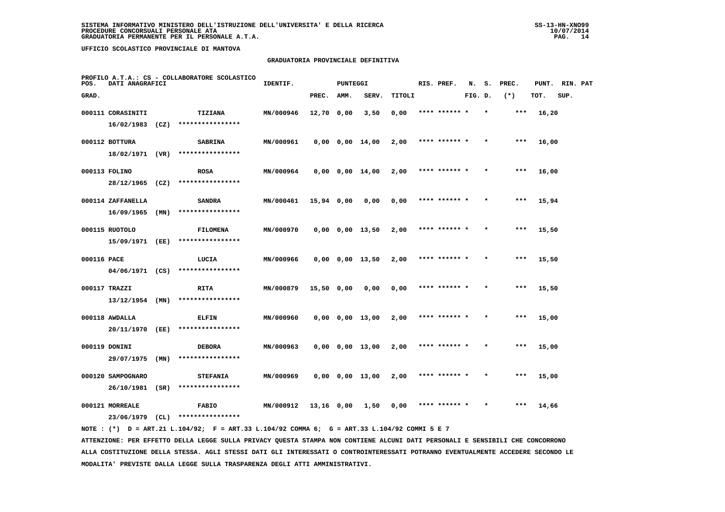### **GRADUATORIA PROVINCIALE DEFINITIVA**

| PROFILO A.T.A.: CS - COLLABORATORE SCOLASTICO<br>POS.<br>DATI ANAGRAFICI |                   |      | IDENTIF.<br><b>PUNTEGGI</b> |           |              |      |                       | RIS. PREF. | N.            | s.      | PREC.   | PUNT. | RIN. PAT |      |  |
|--------------------------------------------------------------------------|-------------------|------|-----------------------------|-----------|--------------|------|-----------------------|------------|---------------|---------|---------|-------|----------|------|--|
| GRAD.                                                                    |                   |      |                             |           | PREC.        | AMM. | SERV.                 | TITOLI     |               | FIG. D. |         | $(*)$ | TOT.     | SUP. |  |
|                                                                          | 000111 CORASINITI |      | <b>TIZIANA</b>              | MN/000946 | 12,70 0,00   |      | 3,50                  | 0,00       | **** ****** * |         | $\star$ | $***$ | 16,20    |      |  |
|                                                                          | 16/02/1983        | (CZ) | ****************            |           |              |      |                       |            |               |         |         |       |          |      |  |
|                                                                          | 000112 BOTTURA    |      | <b>SABRINA</b>              | MN/000961 |              |      | $0,00$ $0,00$ $14,00$ | 2,00       | **** ****** * |         |         | $***$ | 16,00    |      |  |
|                                                                          | 18/02/1971 (VR)   |      | ****************            |           |              |      |                       |            |               |         |         |       |          |      |  |
|                                                                          | 000113 FOLINO     |      | <b>ROSA</b>                 | MN/000964 |              |      | $0,00$ $0,00$ $14,00$ | 2,00       | **** ****** * |         |         | $***$ | 16,00    |      |  |
|                                                                          | 28/12/1965        | (CZ) | ****************            |           |              |      |                       |            |               |         |         |       |          |      |  |
|                                                                          | 000114 ZAFFANELLA |      | <b>SANDRA</b>               | MN/000461 | 15,94 0,00   |      | 0,00                  | 0,00       | **** ****** * |         |         | $***$ | 15,94    |      |  |
|                                                                          | 16/09/1965        | (MN) | ****************            |           |              |      |                       |            |               |         |         |       |          |      |  |
|                                                                          | 000115 RUOTOLO    |      | <b>FILOMENA</b>             | MN/000970 |              |      | $0,00$ $0,00$ $13,50$ | 2,00       | **** ****** * |         |         | $***$ | 15,50    |      |  |
|                                                                          | 15/09/1971 (EE)   |      | ****************            |           |              |      |                       |            |               |         |         |       |          |      |  |
| 000116 PACE                                                              |                   |      | LUCIA                       | MN/000966 |              |      | $0,00$ $0,00$ $13,50$ | 2,00       | **** ******   |         |         | $***$ | 15,50    |      |  |
|                                                                          | 04/06/1971 (CS)   |      | ****************            |           |              |      |                       |            |               |         |         |       |          |      |  |
|                                                                          | 000117 TRAZZI     |      | <b>RITA</b>                 | MN/000879 | $15,50$ 0,00 |      | 0,00                  | 0,00       | **** ****** * |         |         | $***$ | 15,50    |      |  |
|                                                                          | $13/12/1954$ (MN) |      | ****************            |           |              |      |                       |            |               |         |         |       |          |      |  |
|                                                                          | 000118 AWDALLA    |      | <b>ELFIN</b>                | MN/000960 |              |      | $0,00$ $0,00$ $13,00$ | 2,00       | **** ****** * |         |         | ***   | 15,00    |      |  |
|                                                                          | 20/11/1970        | (EE) | ****************            |           |              |      |                       |            |               |         |         |       |          |      |  |
|                                                                          | 000119 DONINI     |      | <b>DEBORA</b>               | MN/000963 |              |      | $0,00$ $0,00$ $13,00$ | 2,00       | **** ****** * |         |         | ***   | 15,00    |      |  |
|                                                                          | 29/07/1975        | (MN) | ****************            |           |              |      |                       |            |               |         |         |       |          |      |  |
|                                                                          | 000120 SAMPOGNARO |      | <b>STEFANIA</b>             | MN/000969 |              |      | $0,00$ $0,00$ $13,00$ | 2,00       | **** ****** * |         |         | $***$ | 15,00    |      |  |
|                                                                          | $26/10/1981$ (SR) |      | ****************            |           |              |      |                       |            |               |         |         |       |          |      |  |
|                                                                          | 000121 MORREALE   |      | <b>FABIO</b>                | MN/000912 | 13,16 0,00   |      | 1,50                  | 0,00       | **** ****** * |         |         | ***   | 14,66    |      |  |
|                                                                          | 23/06/1979        | (CL) | ****************            |           |              |      |                       |            |               |         |         |       |          |      |  |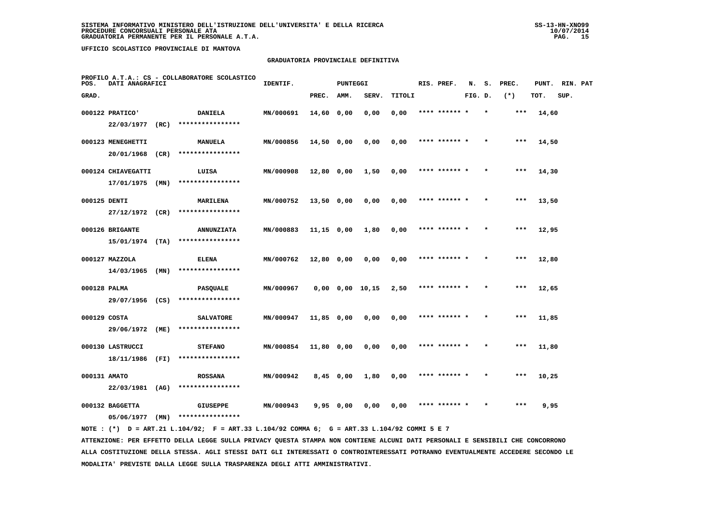### **GRADUATORIA PROVINCIALE DEFINITIVA**

| PROFILO A.T.A.: CS - COLLABORATORE SCOLASTICO<br>POS.<br>DATI ANAGRAFICI |                    |      | IDENTIF.          | <b>PUNTEGGI</b> |              | RIS. PREF. | N.                    | s.     | PREC.         | PUNT.   | RIN. PAT |       |       |      |  |
|--------------------------------------------------------------------------|--------------------|------|-------------------|-----------------|--------------|------------|-----------------------|--------|---------------|---------|----------|-------|-------|------|--|
| GRAD.                                                                    |                    |      |                   |                 | PREC.        | AMM.       | SERV.                 | TITOLI |               | FIG. D. |          | $(*)$ | TOT.  | SUP. |  |
|                                                                          | 000122 PRATICO'    |      | <b>DANIELA</b>    | MN/000691       | 14,60 0,00   |            | 0,00                  | 0,00   | **** ****** * |         |          | ***   | 14,60 |      |  |
|                                                                          | 22/03/1977         | (RC) | ****************  |                 |              |            |                       |        |               |         |          |       |       |      |  |
|                                                                          | 000123 MENEGHETTI  |      | <b>MANUELA</b>    | MN/000856       | 14,50 0,00   |            | 0,00                  | 0,00   | **** ****** * |         |          | ***   | 14,50 |      |  |
|                                                                          | 20/01/1968 (CR)    |      | ****************  |                 |              |            |                       |        |               |         |          |       |       |      |  |
|                                                                          | 000124 CHIAVEGATTI |      | LUISA             | MN/000908       | $12,80$ 0,00 |            | 1,50                  | 0,00   | **** ****** * |         |          | $***$ | 14,30 |      |  |
|                                                                          | 17/01/1975 (MN)    |      | ****************  |                 |              |            |                       |        |               |         |          |       |       |      |  |
| 000125 DENTI                                                             |                    |      | MARILENA          | MN/000752       | $13,50$ 0,00 |            | 0,00                  | 0,00   | **** ****** * |         |          | ***   | 13,50 |      |  |
|                                                                          | 27/12/1972         | (CR) | ****************  |                 |              |            |                       |        |               |         |          |       |       |      |  |
|                                                                          | 000126 BRIGANTE    |      | <b>ANNUNZIATA</b> | MN/000883       | 11,15 0,00   |            | 1,80                  | 0,00   | **** ****** * |         |          | ***   | 12,95 |      |  |
|                                                                          | $15/01/1974$ (TA)  |      | ****************  |                 |              |            |                       |        |               |         |          |       |       |      |  |
|                                                                          | 000127 MAZZOLA     |      | <b>ELENA</b>      | MN/000762       | 12,80 0,00   |            | 0,00                  | 0,00   | **** ****** * |         |          | $***$ | 12,80 |      |  |
|                                                                          | 14/03/1965         | (MN) | ****************  |                 |              |            |                       |        |               |         |          |       |       |      |  |
| 000128 PALMA                                                             |                    |      | <b>PASQUALE</b>   | MN/000967       |              |            | $0,00$ $0,00$ $10,15$ | 2,50   | **** ****** * |         |          | $***$ | 12,65 |      |  |
|                                                                          | 29/07/1956 (CS)    |      | ****************  |                 |              |            |                       |        |               |         |          |       |       |      |  |
| 000129 COSTA                                                             |                    |      | <b>SALVATORE</b>  | MN/000947       | $11,85$ 0,00 |            | 0,00                  | 0,00   | **** ****** * |         |          | $***$ | 11,85 |      |  |
|                                                                          | 29/06/1972         | (ME) | ****************  |                 |              |            |                       |        |               |         |          |       |       |      |  |
|                                                                          | 000130 LASTRUCCI   |      | <b>STEFANO</b>    | MN/000854       | $11,80$ 0,00 |            | 0,00                  | 0,00   | **** ****** * |         |          | $***$ | 11,80 |      |  |
|                                                                          | 18/11/1986         | (FI) | ****************  |                 |              |            |                       |        |               |         |          |       |       |      |  |
| 000131 AMATO                                                             |                    |      | <b>ROSSANA</b>    | MN/000942       | $8,45$ 0,00  |            | 1,80                  | 0,00   | **** ****** * |         |          | $***$ | 10,25 |      |  |
|                                                                          | 22/03/1981         | (AG) | ****************  |                 |              |            |                       |        |               |         |          |       |       |      |  |
|                                                                          | 000132 BAGGETTA    |      | <b>GIUSEPPE</b>   | MN/000943       | 9,95 0,00    |            | 0,00                  | 0,00   | **** ****** * |         |          | ***   | 9,95  |      |  |
|                                                                          | 05/06/1977         | (MN) | ****************  |                 |              |            |                       |        |               |         |          |       |       |      |  |